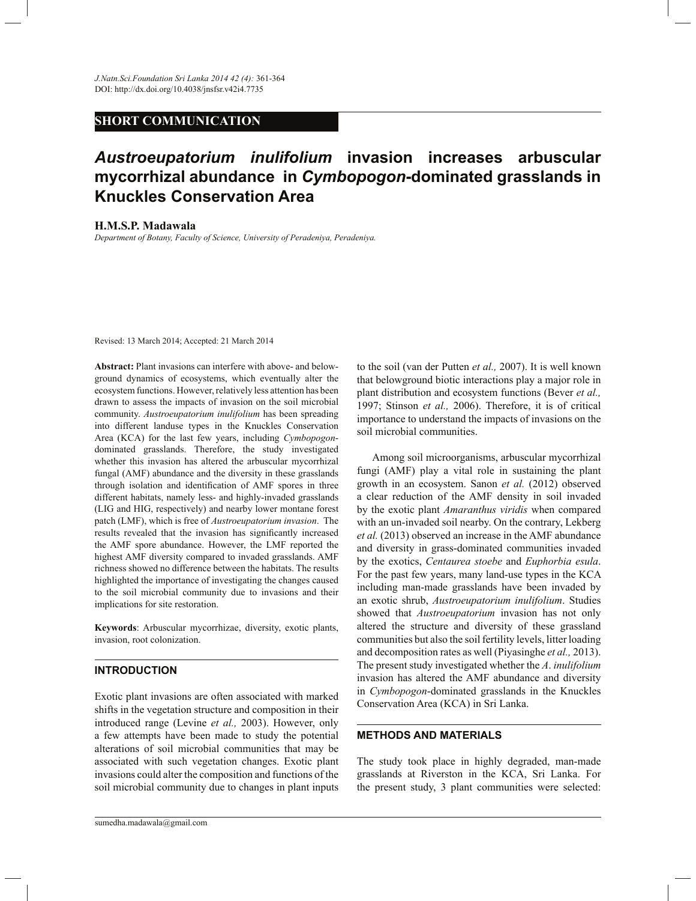## **SHORT COMMUNICATION**

# *Austroeupatorium inulifolium* **invasion increases arbuscular mycorrhizal abundance in** *Cymbopogon***-dominated grasslands in Knuckles Conservation Area**

**H.M.S.P. Madawala**

*Department of Botany, Faculty of Science, University of Peradeniya, Peradeniya.*

Revised: 13 March 2014; Accepted: 21 March 2014

**Abstract:** Plant invasions can interfere with above- and belowground dynamics of ecosystems, which eventually alter the ecosystem functions. However, relatively less attention has been drawn to assess the impacts of invasion on the soil microbial community. *Austroeupatorium inulifolium* has been spreading into different landuse types in the Knuckles Conservation Area (KCA) for the last few years, including *Cymbopogon*dominated grasslands. Therefore, the study investigated whether this invasion has altered the arbuscular mycorrhizal fungal (AMF) abundance and the diversity in these grasslands through isolation and identification of AMF spores in three different habitats, namely less- and highly-invaded grasslands (LIG and HIG, respectively) and nearby lower montane forest patch (LMF), which is free of *Austroeupatorium invasion*. The results revealed that the invasion has significantly increased the AMF spore abundance. However, the LMF reported the highest AMF diversity compared to invaded grasslands. AMF richness showed no difference between the habitats. The results highlighted the importance of investigating the changes caused to the soil microbial community due to invasions and their implications for site restoration.

**Keywords**: Arbuscular mycorrhizae, diversity, exotic plants, invasion, root colonization.

### **INTRODUCTION**

Exotic plant invasions are often associated with marked shifts in the vegetation structure and composition in their introduced range (Levine *et al.,* 2003). However, only a few attempts have been made to study the potential alterations of soil microbial communities that may be associated with such vegetation changes. Exotic plant invasions could alter the composition and functions of the soil microbial community due to changes in plant inputs to the soil (van der Putten *et al.,* 2007). It is well known that belowground biotic interactions play a major role in plant distribution and ecosystem functions (Bever *et al.,* 1997; Stinson *et al.,* 2006). Therefore, it is of critical importance to understand the impacts of invasions on the soil microbial communities.

 Among soil microorganisms, arbuscular mycorrhizal fungi (AMF) play a vital role in sustaining the plant growth in an ecosystem. Sanon *et al.* (2012) observed a clear reduction of the AMF density in soil invaded by the exotic plant *Amaranthus viridis* when compared with an un-invaded soil nearby. On the contrary, Lekberg *et al.* (2013) observed an increase in the AMF abundance and diversity in grass-dominated communities invaded by the exotics, *Centaurea stoebe* and *Euphorbia esula*. For the past few years, many land-use types in the KCA including man-made grasslands have been invaded by an exotic shrub, *Austroeupatorium inulifolium*. Studies showed that *Austroeupatorium* invasion has not only altered the structure and diversity of these grassland communities but also the soil fertility levels, litter loading and decomposition rates as well (Piyasinghe *et al.,* 2013). The present study investigated whether the *A*. *inulifolium* invasion has altered the AMF abundance and diversity in *Cymbopogon*-dominated grasslands in the Knuckles Conservation Area (KCA) in Sri Lanka.

#### **METHODS AND MATERIALS**

The study took place in highly degraded, man-made grasslands at Riverston in the KCA, Sri Lanka. For the present study, 3 plant communities were selected: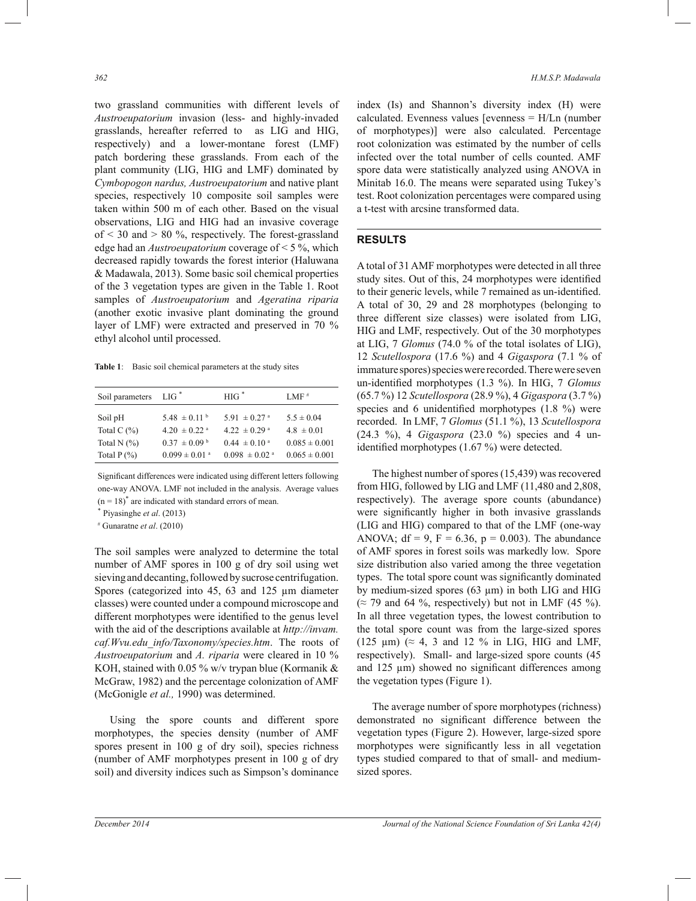two grassland communities with different levels of *Austroeupatorium* invasion (less- and highly-invaded grasslands, hereafter referred to as LIG and HIG, respectively) and a lower-montane forest (LMF) patch bordering these grasslands. From each of the plant community (LIG, HIG and LMF) dominated by *Cymbopogon nardus, Austroeupatorium* and native plant species, respectively 10 composite soil samples were taken within 500 m of each other. Based on the visual observations, LIG and HIG had an invasive coverage of  $\leq$  30 and  $>$  80 %, respectively. The forest-grassland edge had an *Austroeupatorium* coverage of < 5 %, which decreased rapidly towards the forest interior (Haluwana & Madawala, 2013). Some basic soil chemical properties of the 3 vegetation types are given in the Table 1. Root samples of *Austroeupatorium* and *Ageratina riparia* (another exotic invasive plant dominating the ground layer of LMF) were extracted and preserved in 70 % ethyl alcohol until processed.

**Table 1**: Basic soil chemical parameters at the study sites

| Soil parameters | $LIG^*$                       | $HIG^*$                       | LMF#              |
|-----------------|-------------------------------|-------------------------------|-------------------|
|                 |                               |                               |                   |
| Soil pH         | $5.48 \pm 0.11^{\text{ b}}$   | 5.91 $\pm$ 0.27 <sup>a</sup>  | $5.5 \pm 0.04$    |
| Total C $(\% )$ | $4.20 \pm 0.22$ <sup>a</sup>  | $4.22 \pm 0.29$ <sup>a</sup>  | $4.8 \pm 0.01$    |
| Total N $(%)$   | $0.37 \pm 0.09^{\mathrm{b}}$  | $0.44 \pm 0.10^{\circ}$       | $0.085 \pm 0.001$ |
| Total $P(\% )$  | $0.099 \pm 0.01$ <sup>a</sup> | $0.098 \pm 0.02$ <sup>a</sup> | $0.065 \pm 0.001$ |
|                 |                               |                               |                   |

Significant differences were indicated using different letters following one-way ANOVA. LMF not included in the analysis. Average values  $(n = 18)^{*}$  are indicated with standard errors of mean.

\* Piyasinghe *et al*. (2013)

# Gunaratne *et al*. (2010)

The soil samples were analyzed to determine the total number of AMF spores in 100 g of dry soil using wet sieving and decanting, followed by sucrose centrifugation. Spores (categorized into 45, 63 and 125  $\mu$ m diameter classes) were counted under a compound microscope and different morphotypes were identified to the genus level with the aid of the descriptions available at *http://invam. caf.Wvu.edu\_info/Taxonomy/species.htm*. The roots of *Austroeupatorium* and *A. riparia* were cleared in 10 % KOH, stained with 0.05 % w/v trypan blue (Kormanik & McGraw, 1982) and the percentage colonization of AMF (McGonigle *et al.,* 1990) was determined.

 Using the spore counts and different spore morphotypes, the species density (number of AMF spores present in 100 g of dry soil), species richness (number of AMF morphotypes present in 100 g of dry soil) and diversity indices such as Simpson's dominance index (Is) and Shannon's diversity index (H) were calculated. Evenness values [evenness = H/Ln (number of morphotypes)] were also calculated. Percentage root colonization was estimated by the number of cells infected over the total number of cells counted. AMF spore data were statistically analyzed using ANOVA in Minitab 16.0. The means were separated using Tukey's test. Root colonization percentages were compared using a t-test with arcsine transformed data.

#### **RESULTS**

A total of 31 AMF morphotypes were detected in all three study sites. Out of this, 24 morphotypes were identified to their generic levels, while 7 remained as un-identified. A total of 30, 29 and 28 morphotypes (belonging to three different size classes) were isolated from LIG, HIG and LMF, respectively. Out of the 30 morphotypes at LIG, 7 *Glomus* (74.0 % of the total isolates of LIG), 12 *Scutellospora* (17.6 %) and 4 *Gigaspora* (7.1 % of immature spores) species were recorded. There were seven un-identified morphotypes (1.3 %). In HIG, 7 *Glomus* (65.7 %) 12 *Scutellospora* (28.9 %), 4 *Gigaspora* (3.7 %) species and 6 unidentified morphotypes (1.8 %) were recorded. In LMF, 7 *Glomus* (51.1 %), 13 *Scutellospora*  (24.3 %), 4 *Gigaspora* (23.0 %) species and 4 unidentified morphotypes (1.67 %) were detected.

 The highest number of spores (15,439) was recovered from HIG, followed by LIG and LMF (11,480 and 2,808, respectively). The average spore counts (abundance) were significantly higher in both invasive grasslands (LIG and HIG) compared to that of the LMF (one-way ANOVA;  $df = 9$ ,  $F = 6.36$ ,  $p = 0.003$ ). The abundance of AMF spores in forest soils was markedly low. Spore size distribution also varied among the three vegetation types. The total spore count was significantly dominated by medium-sized spores (63 µm) in both LIG and HIG  $(\approx 79$  and 64 %, respectively) but not in LMF (45 %). In all three vegetation types, the lowest contribution to the total spore count was from the large-sized spores (125  $\mu$ m) ( $\approx$  4, 3 and 12 % in LIG, HIG and LMF, respectively). Small- and large-sized spore counts (45 and 125  $\mu$ m) showed no significant differences among the vegetation types (Figure 1).

 The average number of spore morphotypes (richness) demonstrated no significant difference between the vegetation types (Figure 2). However, large-sized spore morphotypes were significantly less in all vegetation types studied compared to that of small- and mediumsized spores.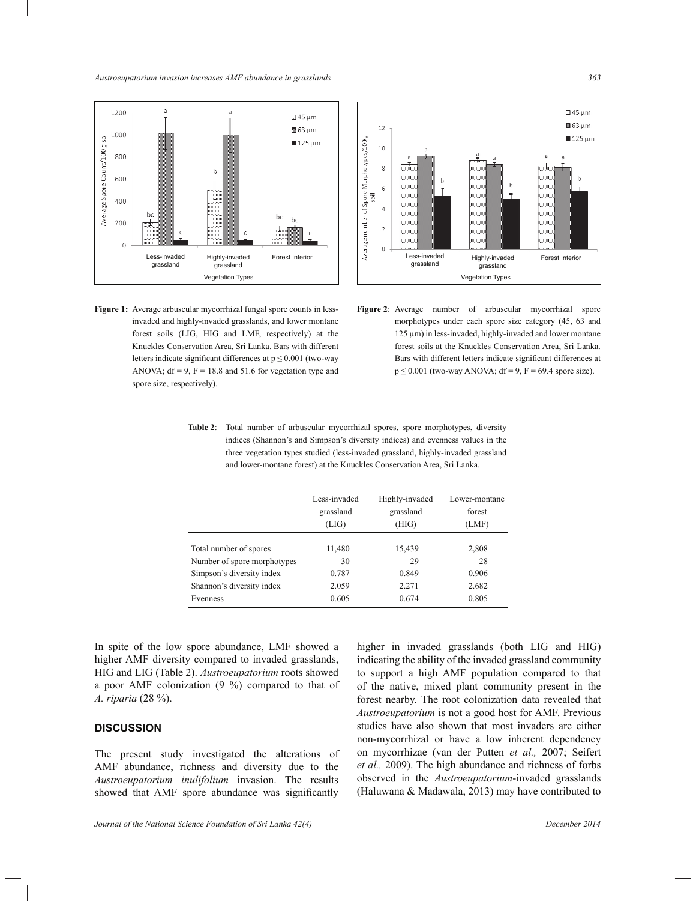*Austroeupatorium invasion increases AMF abundance in grasslands 363*



**Figure 1:** Average arbuscular mycorrhizal fungal spore counts in lessinvaded and highly-invaded grasslands, and lower montane forest soils (LIG, HIG and LMF, respectively) at the Knuckles Conservation Area, Sri Lanka. Bars with different letters indicate significant differences at  $p \le 0.001$  (two-way ANOVA;  $df = 9$ ,  $F = 18.8$  and 51.6 for vegetation type and spore size, respectively).



**Figure 2**: Average number of arbuscular mycorrhizal spore morphotypes under each spore size category (45, 63 and 125 µm) in less-invaded, highly-invaded and lower montane forest soils at the Knuckles Conservation Area, Sri Lanka. Bars with different letters indicate significant differences at  $p \le 0.001$  (two-way ANOVA; df = 9, F = 69.4 spore size).

**Table 2**: Total number of arbuscular mycorrhizal spores, spore morphotypes, diversity indices (Shannon's and Simpson's diversity indices) and evenness values in the three vegetation types studied (less-invaded grassland, highly-invaded grassland and lower-montane forest) at the Knuckles Conservation Area, Sri Lanka.

|                             | Less-invaded<br>grassland<br>(LIG) | Highly-invaded<br>grassland<br>(HIG) | Lower-montane<br>forest<br>(LMF) |
|-----------------------------|------------------------------------|--------------------------------------|----------------------------------|
| Total number of spores      | 11,480                             | 15,439                               | 2,808                            |
| Number of spore morphotypes | 30                                 | 29                                   | 28                               |
| Simpson's diversity index   | 0.787                              | 0.849                                | 0.906                            |
| Shannon's diversity index   | 2.059                              | 2.271                                | 2.682                            |
| Evenness                    | 0.605                              | 0.674                                | 0.805                            |

In spite of the low spore abundance, LMF showed a higher AMF diversity compared to invaded grasslands, HIG and LIG (Table 2). *Austroeupatorium* roots showed a poor AMF colonization (9 %) compared to that of *A. riparia* (28 %).

#### **DISCUSSION**

The present study investigated the alterations of AMF abundance, richness and diversity due to the *Austroeupatorium inulifolium* invasion. The results showed that AMF spore abundance was significantly

higher in invaded grasslands (both LIG and HIG) indicating the ability of the invaded grassland community to support a high AMF population compared to that of the native, mixed plant community present in the forest nearby. The root colonization data revealed that *Austroeupatorium* is not a good host for AMF. Previous studies have also shown that most invaders are either non-mycorrhizal or have a low inherent dependency on mycorrhizae (van der Putten *et al.,* 2007; Seifert *et al.,* 2009). The high abundance and richness of forbs observed in the *Austroeupatorium*-invaded grasslands (Haluwana & Madawala, 2013) may have contributed to

*Journal of the National Science Foundation of Sri Lanka 42(4) December 2014*